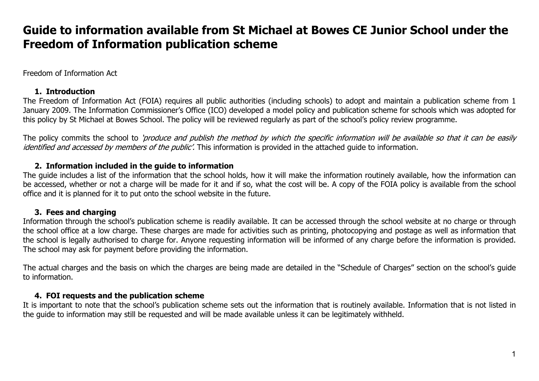#### Freedom of Information Act

#### **1. Introduction**

The Freedom of Information Act (FOIA) requires all public authorities (including schools) to adopt and maintain a publication scheme from 1 January 2009. The Information Commissioner's Office (ICO) developed a model policy and publication scheme for schools which was adopted for this policy by St Michael at Bowes School. The policy will be reviewed regularly as part of the school's policy review programme.

The policy commits the school to 'produce and publish the method by which the specific information will be available so that it can be easily identified and accessed by members of the public'. This information is provided in the attached quide to information.

#### **2. Information included in the guide to information**

The guide includes a list of the information that the school holds, how it will make the information routinely available, how the information can be accessed, whether or not a charge will be made for it and if so, what the cost will be. A copy of the FOIA policy is available from the school office and it is planned for it to put onto the school website in the future.

#### **3. Fees and charging**

Information through the school's publication scheme is readily available. It can be accessed through the school website at no charge or through the school office at a low charge. These charges are made for activities such as printing, photocopying and postage as well as information that the school is legally authorised to charge for. Anyone requesting information will be informed of any charge before the information is provided. The school may ask for payment before providing the information.

The actual charges and the basis on which the charges are being made are detailed in the "Schedule of Charges" section on the school's guide to information.

#### **4. FOI requests and the publication scheme**

It is important to note that the school's publication scheme sets out the information that is routinely available. Information that is not listed in the guide to information may still be requested and will be made available unless it can be legitimately withheld.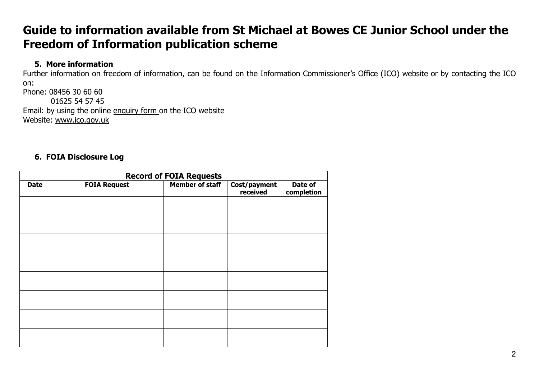#### **5. More information**

Further information on freedom of information, can be found on the Information Commissioner's Office (ICO) website or by contacting the ICO on: Phone: 08456 30 60 60

 01625 54 57 45 Email: by using the online enquiry form on the ICO website Website: www.ico.gov.uk

#### **6. FOIA Disclosure Log**

| <b>Record of FOIA Requests</b> |                     |                        |                          |                       |
|--------------------------------|---------------------|------------------------|--------------------------|-----------------------|
| <b>Date</b>                    | <b>FOIA Request</b> | <b>Member of staff</b> | Cost/payment<br>received | Date of<br>completion |
|                                |                     |                        |                          |                       |
|                                |                     |                        |                          |                       |
|                                |                     |                        |                          |                       |
|                                |                     |                        |                          |                       |
|                                |                     |                        |                          |                       |
|                                |                     |                        |                          |                       |
|                                |                     |                        |                          |                       |
|                                |                     |                        |                          |                       |
|                                |                     |                        |                          |                       |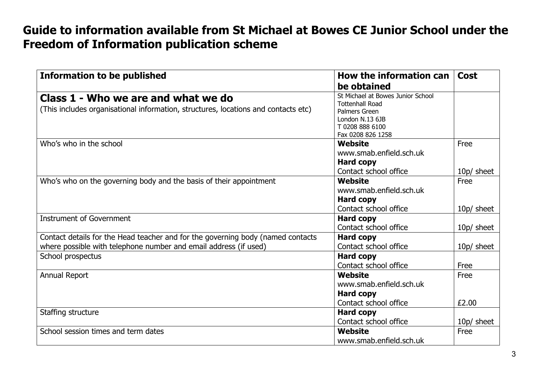| <b>Information to be published</b>                                                                                        | How the information can                                                                                                                 | <b>Cost</b> |
|---------------------------------------------------------------------------------------------------------------------------|-----------------------------------------------------------------------------------------------------------------------------------------|-------------|
|                                                                                                                           | be obtained                                                                                                                             |             |
| Class 1 - Who we are and what we do<br>(This includes organisational information, structures, locations and contacts etc) | St Michael at Bowes Junior School<br><b>Tottenhall Road</b><br>Palmers Green<br>London N.13 6JB<br>T 0208 888 6100<br>Fax 0208 826 1258 |             |
| Who's who in the school                                                                                                   | Website                                                                                                                                 | Free        |
|                                                                                                                           | www.smab.enfield.sch.uk                                                                                                                 |             |
|                                                                                                                           | <b>Hard copy</b>                                                                                                                        |             |
|                                                                                                                           | Contact school office                                                                                                                   | 10p/ sheet  |
| Who's who on the governing body and the basis of their appointment                                                        | Website                                                                                                                                 | Free        |
|                                                                                                                           | www.smab.enfield.sch.uk                                                                                                                 |             |
|                                                                                                                           | <b>Hard copy</b>                                                                                                                        |             |
|                                                                                                                           | Contact school office                                                                                                                   | 10p/ sheet  |
| <b>Instrument of Government</b>                                                                                           | <b>Hard copy</b>                                                                                                                        |             |
|                                                                                                                           | Contact school office                                                                                                                   | 10p/ sheet  |
| Contact details for the Head teacher and for the governing body (named contacts                                           | <b>Hard copy</b>                                                                                                                        |             |
| where possible with telephone number and email address (if used)                                                          | Contact school office                                                                                                                   | 10p/ sheet  |
| School prospectus                                                                                                         | <b>Hard copy</b>                                                                                                                        |             |
|                                                                                                                           | Contact school office                                                                                                                   | Free        |
| Annual Report                                                                                                             | Website                                                                                                                                 | Free        |
|                                                                                                                           | www.smab.enfield.sch.uk                                                                                                                 |             |
|                                                                                                                           | <b>Hard copy</b>                                                                                                                        |             |
|                                                                                                                           | Contact school office                                                                                                                   | £2.00       |
| Staffing structure                                                                                                        | <b>Hard copy</b>                                                                                                                        |             |
|                                                                                                                           | Contact school office                                                                                                                   | 10p/ sheet  |
| School session times and term dates                                                                                       | Website                                                                                                                                 | Free        |
|                                                                                                                           | www.smab.enfield.sch.uk                                                                                                                 |             |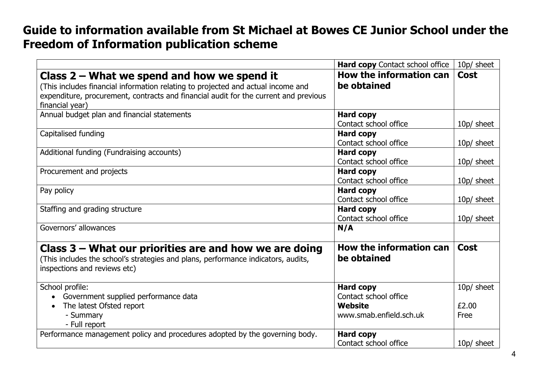|                                                                                                                                                                               | Hard copy Contact school office               | 10p/ sheet  |
|-------------------------------------------------------------------------------------------------------------------------------------------------------------------------------|-----------------------------------------------|-------------|
| Class $2$ – What we spend and how we spend it                                                                                                                                 | How the information can                       | <b>Cost</b> |
| (This includes financial information relating to projected and actual income and                                                                                              | be obtained                                   |             |
| expenditure, procurement, contracts and financial audit for the current and previous<br>financial year)                                                                       |                                               |             |
| Annual budget plan and financial statements                                                                                                                                   | <b>Hard copy</b>                              |             |
|                                                                                                                                                                               | Contact school office                         | 10p/ sheet  |
| Capitalised funding                                                                                                                                                           | <b>Hard copy</b>                              |             |
|                                                                                                                                                                               | Contact school office                         | 10p/ sheet  |
| Additional funding (Fundraising accounts)                                                                                                                                     | <b>Hard copy</b>                              |             |
|                                                                                                                                                                               | Contact school office                         | 10p/ sheet  |
| Procurement and projects                                                                                                                                                      | <b>Hard copy</b>                              |             |
|                                                                                                                                                                               | Contact school office                         | 10p/ sheet  |
| Pay policy                                                                                                                                                                    | <b>Hard copy</b>                              |             |
|                                                                                                                                                                               | Contact school office                         | 10p/ sheet  |
| Staffing and grading structure                                                                                                                                                | <b>Hard copy</b>                              |             |
|                                                                                                                                                                               | Contact school office                         | 10p/ sheet  |
| Governors' allowances                                                                                                                                                         | N/A                                           |             |
| Class $3$ – What our priorities are and how we are doing<br>(This includes the school's strategies and plans, performance indicators, audits,<br>inspections and reviews etc) | <b>How the information can</b><br>be obtained | <b>Cost</b> |
| School profile:                                                                                                                                                               | <b>Hard copy</b>                              | 10p/ sheet  |
| Government supplied performance data                                                                                                                                          | Contact school office                         |             |
| The latest Ofsted report                                                                                                                                                      | Website                                       | £2.00       |
| - Summary                                                                                                                                                                     | www.smab.enfield.sch.uk                       | Free        |
| - Full report                                                                                                                                                                 |                                               |             |
| Performance management policy and procedures adopted by the governing body.                                                                                                   | <b>Hard copy</b>                              |             |
|                                                                                                                                                                               | Contact school office                         | 10p/ sheet  |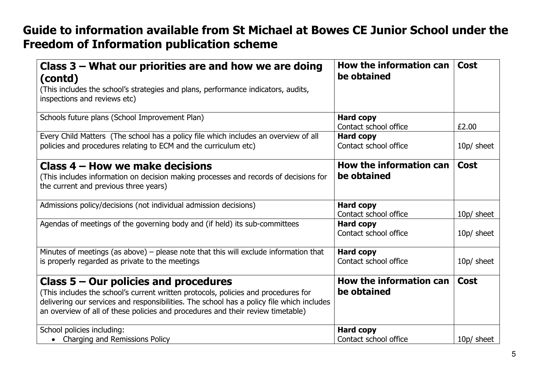| Class $3$ – What our priorities are and how we are doing<br>(contd)                                                                                                                                                                                                                                           | How the information can<br>be obtained    | <b>Cost</b> |
|---------------------------------------------------------------------------------------------------------------------------------------------------------------------------------------------------------------------------------------------------------------------------------------------------------------|-------------------------------------------|-------------|
| (This includes the school's strategies and plans, performance indicators, audits,<br>inspections and reviews etc)                                                                                                                                                                                             |                                           |             |
| Schools future plans (School Improvement Plan)                                                                                                                                                                                                                                                                | <b>Hard copy</b><br>Contact school office | £2.00       |
| Every Child Matters (The school has a policy file which includes an overview of all<br>policies and procedures relating to ECM and the curriculum etc)                                                                                                                                                        | <b>Hard copy</b><br>Contact school office | 10p/ sheet  |
| Class 4 – How we make decisions<br>(This includes information on decision making processes and records of decisions for<br>the current and previous three years)                                                                                                                                              | How the information can<br>be obtained    | <b>Cost</b> |
| Admissions policy/decisions (not individual admission decisions)                                                                                                                                                                                                                                              | <b>Hard copy</b><br>Contact school office | 10p/ sheet  |
| Agendas of meetings of the governing body and (if held) its sub-committees                                                                                                                                                                                                                                    | <b>Hard copy</b><br>Contact school office | 10p/ sheet  |
| Minutes of meetings (as above) $-$ please note that this will exclude information that<br>is properly regarded as private to the meetings                                                                                                                                                                     | <b>Hard copy</b><br>Contact school office | 10p/ sheet  |
| Class $5 -$ Our policies and procedures<br>(This includes the school's current written protocols, policies and procedures for<br>delivering our services and responsibilities. The school has a policy file which includes<br>an overview of all of these policies and procedures and their review timetable) | How the information can<br>be obtained    | <b>Cost</b> |
| School policies including:<br>• Charging and Remissions Policy                                                                                                                                                                                                                                                | <b>Hard copy</b><br>Contact school office | 10p/ sheet  |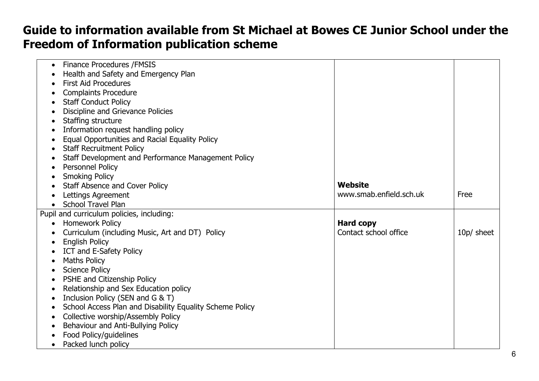| <b>Finance Procedures / FMSIS</b><br>$\bullet$<br>Health and Safety and Emergency Plan<br><b>First Aid Procedures</b><br><b>Complaints Procedure</b><br><b>Staff Conduct Policy</b> |
|-------------------------------------------------------------------------------------------------------------------------------------------------------------------------------------|
|                                                                                                                                                                                     |
|                                                                                                                                                                                     |
|                                                                                                                                                                                     |
|                                                                                                                                                                                     |
|                                                                                                                                                                                     |
| Discipline and Grievance Policies                                                                                                                                                   |
| Staffing structure<br>$\bullet$                                                                                                                                                     |
| Information request handling policy                                                                                                                                                 |
| Equal Opportunities and Racial Equality Policy                                                                                                                                      |
| <b>Staff Recruitment Policy</b><br>$\bullet$                                                                                                                                        |
| Staff Development and Performance Management Policy                                                                                                                                 |
| <b>Personnel Policy</b>                                                                                                                                                             |
| <b>Smoking Policy</b>                                                                                                                                                               |
| Website<br>Staff Absence and Cover Policy                                                                                                                                           |
| www.smab.enfield.sch.uk<br>Free<br>Lettings Agreement                                                                                                                               |
| <b>School Travel Plan</b><br>$\bullet$                                                                                                                                              |
| Pupil and curriculum policies, including:                                                                                                                                           |
| <b>Homework Policy</b><br><b>Hard copy</b><br>$\bullet$                                                                                                                             |
| Curriculum (including Music, Art and DT) Policy<br>Contact school office<br>10p/ sheet                                                                                              |
| <b>English Policy</b>                                                                                                                                                               |
| ICT and E-Safety Policy                                                                                                                                                             |
| <b>Maths Policy</b><br>$\bullet$                                                                                                                                                    |
| <b>Science Policy</b><br>$\bullet$                                                                                                                                                  |
| PSHE and Citizenship Policy                                                                                                                                                         |
| Relationship and Sex Education policy                                                                                                                                               |
| Inclusion Policy (SEN and G & T)<br>$\bullet$                                                                                                                                       |
| School Access Plan and Disability Equality Scheme Policy                                                                                                                            |
| Collective worship/Assembly Policy                                                                                                                                                  |
| Behaviour and Anti-Bullying Policy                                                                                                                                                  |
| Food Policy/guidelines                                                                                                                                                              |
| Packed lunch policy<br>$\bullet$                                                                                                                                                    |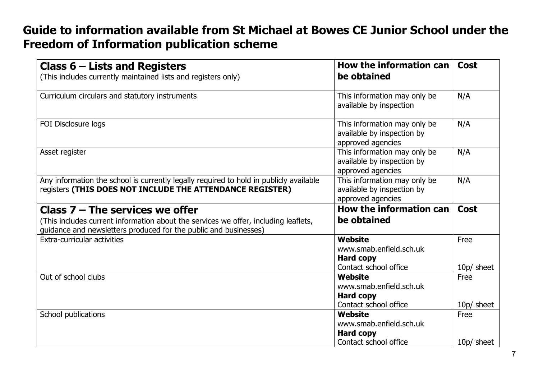| Class $6$ – Lists and Registers<br>(This includes currently maintained lists and registers only)                                                                                             | How the information can<br>be obtained                                                 | <b>Cost</b>        |
|----------------------------------------------------------------------------------------------------------------------------------------------------------------------------------------------|----------------------------------------------------------------------------------------|--------------------|
| Curriculum circulars and statutory instruments                                                                                                                                               | This information may only be<br>available by inspection                                | N/A                |
| FOI Disclosure logs                                                                                                                                                                          | This information may only be<br>available by inspection by<br>approved agencies        | N/A                |
| Asset register                                                                                                                                                                               | This information may only be<br>available by inspection by<br>approved agencies        | N/A                |
| Any information the school is currently legally required to hold in publicly available<br>registers (THIS DOES NOT INCLUDE THE ATTENDANCE REGISTER)                                          | This information may only be<br>available by inspection by<br>approved agencies        | N/A                |
| Class $7 -$ The services we offer<br>(This includes current information about the services we offer, including leaflets,<br>guidance and newsletters produced for the public and businesses) | <b>How the information can</b><br>be obtained                                          | <b>Cost</b>        |
| <b>Extra-curricular activities</b>                                                                                                                                                           | <b>Website</b><br>www.smab.enfield.sch.uk<br><b>Hard copy</b><br>Contact school office | Free<br>10p/ sheet |
| Out of school clubs                                                                                                                                                                          | <b>Website</b><br>www.smab.enfield.sch.uk<br><b>Hard copy</b>                          | Free               |
| School publications                                                                                                                                                                          | Contact school office<br>Website<br>www.smab.enfield.sch.uk                            | 10p/ sheet<br>Free |
|                                                                                                                                                                                              | <b>Hard copy</b><br>Contact school office                                              | 10p/ sheet         |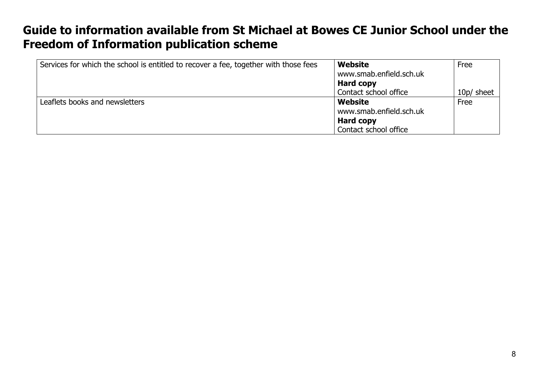| Services for which the school is entitled to recover a fee, together with those fees | Website                 | Free       |
|--------------------------------------------------------------------------------------|-------------------------|------------|
|                                                                                      | www.smab.enfield.sch.uk |            |
|                                                                                      | Hard copy               |            |
|                                                                                      | Contact school office   | 10p/ sheet |
| Leaflets books and newsletters                                                       | Website                 | Free       |
|                                                                                      | www.smab.enfield.sch.uk |            |
|                                                                                      | Hard copy               |            |
|                                                                                      | Contact school office   |            |